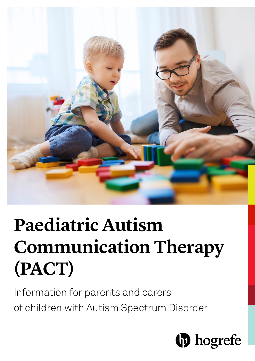

# **Paediatric Autism Communication Therapy (PACT)**

Information for parents and carers of children with Autism Spectrum Disorder

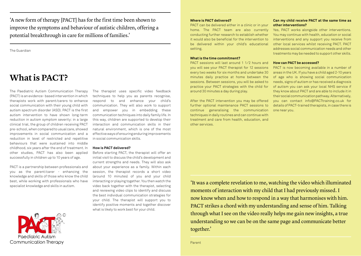'A new form of therapy [PACT] has for the first time been shown to improve the symptoms and behaviour of autistic children, offering a potential breakthrough in care for millions of families.'

The Guardian

# **What is PACT?**

The Paediatric Autism Communication Therapy (PACT) is an evidence- based intervention in which therapists work with parent/carers to enhance social communication with their young child with autism spectrum disorder (ASD). PACT is the first autism intervention to have shown long-term reduction in autism symptom severity: in a large clinical trial, the group of children receiving PACT pre-school, when compared to usual care, showed improvements in social communication and a reduction in level of restricted and repetitive behaviours that were sustained into middle childhood, six years after the end of treatment. In other studies, PACT has also been applied successfully in children up to 10 years of age.

PACT is a partnership between professionals and you as the parent/carer - enhancing the knowledge and skills of those who know the child best, while working with professionals who have specialist knowledge and skills in autism.

Paediatric Autism Communication Therapy The therapist uses specific video feedback techniques to help you as parents recognise, respond to and enhance your child's communication. They will also work to support and empower you in embedding these communication techniques into daily family life. In this way, children are supported to develop their interaction and communication skills in their natural environment, which is one of the most effective ways of ensuring enduring improvements in social communication skills.

### **How is PACT delivered?**

Before starting PACT, the therapist will offer an initial visit to discuss the child's development and current strengths and needs. They will also ask about your experience as a family. Within each session, the therapist records a short video (around 10 minutes) of you and your child interacting or playing together. You then watch the video back together with the therapist, selecting and reviewing video clips to identify and discuss the best individual communication strategies for your child. The therapist will support you to identify positive moments and together discover what is likely to work best for your child.

# **Where is PACT delivered?**

PACT can be delivered either in a clinic or in your home. The PACT team are also currently conducting further research to establish whether it would also be beneficial for the intervention to be delivered within your child's educational setting.

#### **What is the time commitment?**

PACT sessions will last around 1 1⁄2 hours and you will see your PACT therapist for 12 sessions every two weeks for six months and undertake 30 minutes daily practice at home between the sessions. Between sessions, you will be asked to practice your PACT strategies with the child for around 30 minutes a day during play.

After the PACT intervention you may be offered further optional maintenance PACT sessions to continue generalising the communication techniques in daily routines and can continue with treatment and care from health, education, and other services.

## **Can my child receive PACT at the same time as other interventions?**

Yes, PACT works alongside other interventions. You may continue with health, education or social interventions and any support you receive from other local services whilst receiving PACT. PACT addresses social communication needs and other treatments may be needed to support other skills.

# **How can PACT be accessed?**

PACT is now becoming available in a number of areas in the UK. If you have a child aged 2-10 years of age who is showing social communication needs, signs of autism or has received a diagnosis of autism you can ask your local NHS service if they know about PACT and are able to include it in their social communication pathway. Alternatively, you can contact info@PACTtraining.co.uk for details of PACT-trained therapists, in case there is one near you.

'It was a complete revelation to me, watching the video which illuminated moments of interaction with my child that I had previously missed. I now know when and how to respond in a way that harmonises with him. PACT strikes a chord with my understanding and sense of him. Talking through what I see on the video really helps me gain new insights, a true understanding so we can be on the same page and communicate better together.'

Parent